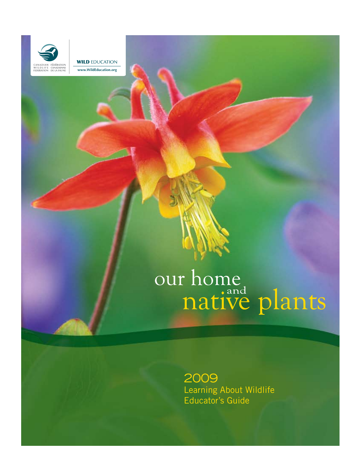

**WILD EDUCATION www.WildEducation.org**

# our home<br>native plants

2009 Learning About Wildlife Educator's Guide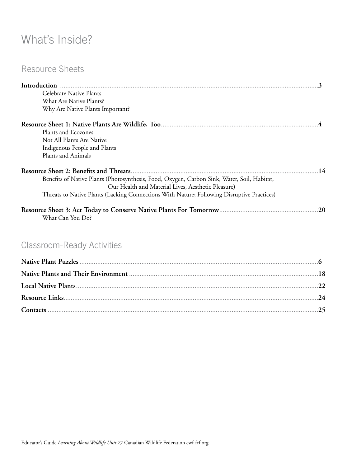# What's Inside?

# Resource Sheets

| Celebrate Native Plants                                                                     |
|---------------------------------------------------------------------------------------------|
| What Are Native Plants?                                                                     |
| Why Are Native Plants Important?                                                            |
|                                                                                             |
| Plants and Ecozones                                                                         |
| Not All Plants Are Native                                                                   |
| Indigenous People and Plants                                                                |
| Plants and Animals                                                                          |
| 14                                                                                          |
| Benefits of Native Plants (Photosynthesis, Food, Oxygen, Carbon Sink, Water, Soil, Habitat, |
| Our Health and Material Lives, Aesthetic Pleasure)                                          |
| Threats to Native Plants (Lacking Connections With Nature; Following Disruptive Practices)  |
| .20<br>What Can You Do?                                                                     |

# Classroom-Ready Activities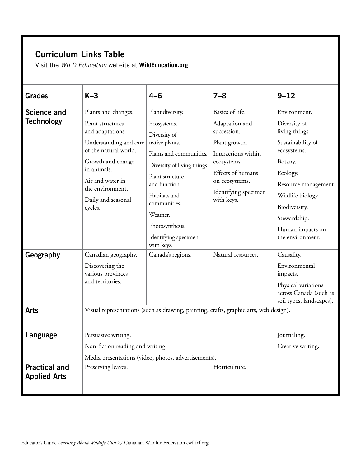# Curriculum Links Table

Visit the *WILD Education* website at **[WildEducation.org](http://www.WildEducation.org)**

| <b>Grades</b>                               | $K-3$                                                                                                                                                        | $4 - 6$                                                                                                                                                  | $7 - 8$                                                                                                                          | $9 - 12$                                                                                                                              |  |
|---------------------------------------------|--------------------------------------------------------------------------------------------------------------------------------------------------------------|----------------------------------------------------------------------------------------------------------------------------------------------------------|----------------------------------------------------------------------------------------------------------------------------------|---------------------------------------------------------------------------------------------------------------------------------------|--|
| <b>Science and</b>                          | Plants and changes.                                                                                                                                          | Plant diversity.                                                                                                                                         | Basics of life.                                                                                                                  | Environment.                                                                                                                          |  |
| <b>Technology</b>                           | Plant structures<br>and adaptations.                                                                                                                         | Ecosystems.<br>Diversity of                                                                                                                              | Adaptation and<br>succession.                                                                                                    | Diversity of<br>living things.                                                                                                        |  |
|                                             | Understanding and care<br>of the natural world.<br>Growth and change<br>in animals.<br>Air and water in<br>the environment.<br>Daily and seasonal<br>cycles. | native plants.<br>Plants and communities.<br>Diversity of living things.<br>Plant structure<br>and function.<br>Habitats and<br>communities.<br>Weather. | Plant growth.<br>Interactions within<br>ecosystems.<br>Effects of humans<br>on ecosystems.<br>Identifying specimen<br>with keys. | Sustainability of<br>ecosystems.<br>Botany.<br>Ecology.<br>Resource management.<br>Wildlife biology.<br>Biodiversity.<br>Stewardship. |  |
|                                             |                                                                                                                                                              | Photosynthesis.<br>Identifying specimen<br>with keys.                                                                                                    |                                                                                                                                  | Human impacts on<br>the environment.                                                                                                  |  |
| Geography                                   | Canadian geography.<br>Discovering the<br>various provinces<br>and territories.                                                                              | Canada's regions.                                                                                                                                        | Natural resources.                                                                                                               | Causality.<br>Environmental<br>impacts.<br>Physical variations<br>across Canada (such as<br>soil types, landscapes).                  |  |
| <b>Arts</b>                                 | Visual representations (such as drawing, painting, crafts, graphic arts, web design).                                                                        |                                                                                                                                                          |                                                                                                                                  |                                                                                                                                       |  |
| Language                                    | Persuasive writing.<br>Non-fiction reading and writing.                                                                                                      |                                                                                                                                                          |                                                                                                                                  | Journaling.<br>Creative writing.                                                                                                      |  |
|                                             |                                                                                                                                                              | Media presentations (video, photos, advertisements).                                                                                                     |                                                                                                                                  |                                                                                                                                       |  |
| <b>Practical and</b><br><b>Applied Arts</b> | Preserving leaves.                                                                                                                                           |                                                                                                                                                          | Horticulture.                                                                                                                    |                                                                                                                                       |  |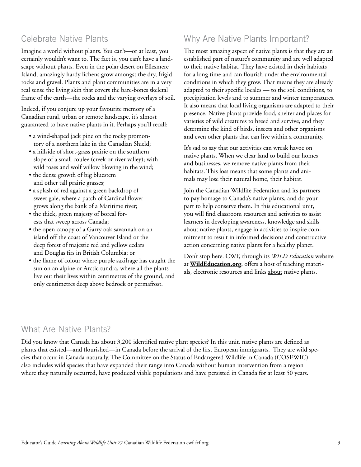# Celebrate Native Plants

Imagine a world without plants. You can't—or at least, you certainly wouldn't want to. The fact is, you can't have a landscape without plants. Even in the polar desert on Ellesmere Island, amazingly hardy lichens grow amongst the dry, frigid rocks and gravel. Plants and plant communities are in a very real sense the living skin that covers the bare-bones skeletal frame of the earth—the rocks and the varying overlays of soil.

Indeed, if you conjure up your favourite memory of a Canadian rural, urban or remote landscape, it's almost guaranteed to have native plants in it. Perhaps you'll recall:

- a wind-shaped jack pine on the rocky promontory of a northern lake in the Canadian Shield;
- a hillside of short-grass prairie on the southern slope of a small coulee (creek or river valley); with wild roses and wolf willow blowing in the wind;
- the dense growth of big bluestem and other tall prairie grasses;
- a splash of red against a green backdrop of sweet gale, where a patch of Cardinal flower grows along the bank of a Maritime river;
- the thick, green majesty of boreal forests that sweep across Canada;
- the open canopy of a Garry oak savannah on an island off the coast of Vancouver Island or the deep forest of majestic red and yellow cedars and Douglas firs in British Columbia; or
- the flame of colour where purple saxifrage has caught the sun on an alpine or Arctic tundra, where all the plants live out their lives within centimetres of the ground, and only centimetres deep above bedrock or permafrost.

# Why Are Native Plants Important?

The most amazing aspect of native plants is that they are an established part of nature's community and are well adapted to their native habitat. They have existed in their habitats for a long time and can flourish under the environmental conditions in which they grow. That means they are already adapted to their specific locales — to the soil conditions, to precipitation levels and to summer and winter temperatures. It also means that local living organisms are adapted to their presence. Native plants provide food, shelter and places for varieties of wild creatures to breed and survive, and they determine the kind of birds, insects and other organisms and even other plants that can live within a community.

It's sad to say that our activities can wreak havoc on native plants. When we clear land to build our homes and businesses, we remove native plants from their habitats. This loss means that some plants and animals may lose their natural home, their habitat.

Join the Canadian Wildlife Federation and its partners to pay homage to Canada's native plants, and do your part to help conserve them. In this educational unit, you will find classroom resources and activities to assist learners in developing awareness, knowledge and skills about native plants, engage in activities to inspire commitment to result in informed decisions and constructive action concerning native plants for a healthy planet.

Don't stop here. CWF, through its *WILD Education* website at **[WildEducation.org](http://www.WildEducation.org)**, offers a host of teaching materials, electronic resources and links [about](http://www.wildeducation.org/programs/nww2003/nww2003booklet_e.pdf) native plants.

# What Are Native Plants?

Did you know that Canada has about 3,200 identified native plant species? In this unit, native plants are defined as plants that existed—and flourished—in Canada before the arrival of the first European immigrants. They are wild species that occur in Canada naturally. The [Committee](http://www.cosewic.gc.ca) on the Status of Endangered Wildlife in Canada (COSEWIC) also includes wild species that have expanded their range into Canada without human intervention from a region where they naturally occurred, have produced viable populations and have persisted in Canada for at least 50 years.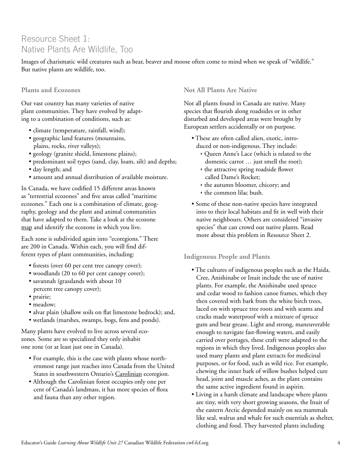# Resource Sheet 1: Native Plants Are Wildlife, Too

Images of charismatic wild creatures such as bear, beaver and moose often come to mind when we speak of "wildlife." But native plants are wildlife, too.

# **Plants and Ecozones**

Our vast country has many varieties of native plant communities. They have evolved by adapting to a combination of conditions, such as:

- climate (temperature, rainfall, wind);
- geographic land features (mountains, plains, rocks, river valleys);
- geology (granite shield, limestone plains);
- predominant soil types (sand, clay, loam, silt) and depths;
- day length; and
- amount and annual distribution of available moisture.

In Canada, we have codified 15 different areas known as "terrestrial ecozones" and five areas called "maritime ecozones." Each one is a combination of climate, geography, geology and the plant and animal communities that have adapted to them. Take a look at the ecozone [map](http://www.ec.gc.ca/soer-ree/English/vignettes/Terrestrial/terr.cfm) and identify the ecozone in which you live.

Each zone is subdivided again into "ecoregions." There are 200 in Canada. Within each, you will find different types of plant communities, including:

- forests (over 60 per cent tree canopy cover);
- woodlands (20 to 60 per cent canopy cover);
- savannah (grasslands with about 10 percent tree canopy cover);
- prairie;
- meadow;
- alvar plain (shallow soils on flat limestone bedrock); and,
- wetlands (marshes, swamps, bogs, fens and ponds).

Many plants have evolved to live across several ecozones. Some are so specialized they only inhabit one zone (or at least just one in Canada).

- For example, this is the case with plants whose northernmost range just reaches into Canada from the United States in southwestern Ontario's [Carolinian](http://www.carolinian.org/SpeciesHabitats_ForestsFlora.htm) ecoregion.
- Although the Carolinian forest occupies only one per cent of Canada's landmass, it has more species of flora and fauna than any other region.

# **Not All Plants Are Native**

Not all plants found in Canada are native. Many species that flourish along roadsides or in other disturbed and developed areas were brought by European settlers accidentally or on purpose.

- These are often called alien, exotic, introduced or non-indigenous. They include:
	- Ì Queen Anne's Lace (which is related to the domestic carrot … just smell the root);
	- $\rightarrow$  the attractive spring roadside flower called Dame's Rocket;
	- $\rightarrow$  the autumn bloomer, chicory; and
	- $\rightarrow$  the common lilac bush.
- Some of these non-native species have integrated into to their local habitats and fit in well with their native neighbours. Others are considered "invasive species" that can crowd out native plants. Read more about this problem in Resource Sheet 2.

# **Indigenous People and Plants**

- The cultures of indigenous peoples such as the Haida, Cree, Anishinabe or Inuit include the use of native plants. For example, the Anishinabe used spruce and cedar wood to fashion canoe frames, which they then covered with bark from the white birch trees, laced on with spruce tree roots and with seams and cracks made waterproof with a mixture of spruce gum and bear grease. Light and strong, maneuverable enough to navigate fast-flowing waters, and easily carried over portages, these craft were adapted to the regions in which they lived. Indigenous peoples also used many plants and plant extracts for medicinal purposes, or for food, such as wild rice. For example, chewing the inner bark of willow bushes helped cure head, joint and muscle aches, as the plant contains the same active ingredient found in aspirin.
- Living in a harsh climate and landscape where plants are tiny, with very short growing seasons, the Inuit of the eastern Arctic depended mainly on sea mammals like seal, walrus and whale for such essentials as shelter, clothing and food. They harvested plants including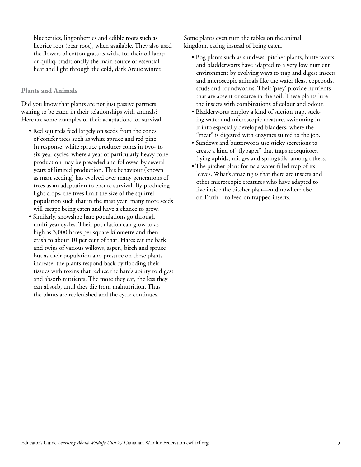blueberries, lingonberries and edible roots such as licorice root (bear root), when available. They also used the flowers of cotton grass as wicks for their oil lamp or qulliq, traditionally the main source of essential heat and light through the cold, dark Arctic winter.

#### **Plants and Animals**

Did you know that plants are not just passive partners waiting to be eaten in their relationships with animals? Here are some examples of their adaptations for survival:

- Red squirrels feed largely on seeds from the cones of conifer trees such as white spruce and red pine. In response, white spruce produces cones in two- to six-year cycles, where a year of particularly heavy cone production may be preceded and followed by several years of limited production. This behaviour (known as mast seeding) has evolved over many generations of trees as an adaptation to ensure survival. By producing light crops, the trees limit the size of the squirrel population such that in the mast year many more seeds will escape being eaten and have a chance to grow.
- Similarly, snowshoe hare populations go through multi-year cycles. Their population can grow to as high as 3,000 hares per square kilometre and then crash to about 10 per cent of that. Hares eat the bark and twigs of various willows, aspen, birch and spruce but as their population and pressure on these plants increase, the plants respond back by flooding their tissues with toxins that reduce the hare's ability to digest and absorb nutrients. The more they eat, the less they can absorb, until they die from malnutrition. Thus the plants are replenished and the cycle continues.

Some plants even turn the tables on the animal kingdom, eating instead of being eaten.

- Bog plants such as sundews, pitcher plants, butterworts and bladderworts have adapted to a very low nutrient environment by evolving ways to trap and digest insects and microscopic animals like the water fleas, copepods, scuds and roundworms. Their 'prey' provide nutrients that are absent or scarce in the soil. These plants lure the insects with combinations of colour and odour.
- Bladderworts employ a kind of suction trap, sucking water and microscopic creatures swimming in it into especially developed bladders, where the "meat" is digested with enzymes suited to the job.
- Sundews and butterworts use sticky secretions to create a kind of "flypaper" that traps mosquitoes, flying aphids, midges and springtails, among others.
- The pitcher plant forms a water-filled trap of its leaves. What's amazing is that there are insects and other microscopic creatures who have adapted to live inside the pitcher plan—and nowhere else on Earth—to feed on trapped insects.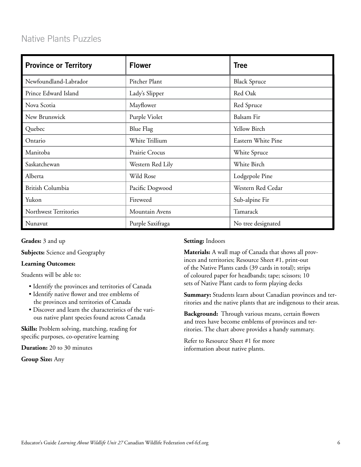# Native Plants Puzzles

| <b>Province or Territory</b> | <b>Flower</b>    | <b>Tree</b>         |  |
|------------------------------|------------------|---------------------|--|
| Newfoundland-Labrador        | Pitcher Plant    | <b>Black Spruce</b> |  |
| Prince Edward Island         | Lady's Slipper   | Red Oak             |  |
| Nova Scotia                  | Mayflower        | Red Spruce          |  |
| New Brunswick                | Purple Violet    | Balsam Fir          |  |
| Quebec                       | Blue Flag        | Yellow Birch        |  |
| Ontario                      | White Trillium   | Eastern White Pine  |  |
| Manitoba                     | Prairie Crocus   | White Spruce        |  |
| Saskatchewan                 | Western Red Lily | White Birch         |  |
| Alberta                      | Wild Rose        | Lodgepole Pine      |  |
| British Columbia             | Pacific Dogwood  | Western Red Cedar   |  |
| Yukon                        | Fireweed         | Sub-alpine Fir      |  |
| Northwest Territories        | Mountain Avens   | Tamarack            |  |
| Nunavut                      | Purple Saxifraga | No tree designated  |  |

**Grades:** 3 and up

**Subjects:** Science and Geography

#### **Learning Outcomes:**

Students will be able to:

- Identify the provinces and territories of Canada
- Identify native flower and tree emblems of the provinces and territories of Canada
- Discover and learn the characteristics of the various native plant species found across Canada

**Skills:** Problem solving, matching, reading for specific purposes, co-operative learning

**Duration:** 20 to 30 minutes

**Group Size:** Any

#### **Setting:** Indoors

**Materials:** A wall map of Canada that shows all provinces and territories; Resource Sheet #1, print-out of the Native Plants cards (39 cards in total); strips of coloured paper for headbands; tape; scissors; 10 sets of Native Plant cards to form playing decks

**Summary:** Students learn about Canadian provinces and territories and the native plants that are indigenous to their areas.

**Background:** Through various means, certain flowers and trees have become emblems of provinces and territories. The chart above provides a handy summary.

Refer to Resource Sheet #1 for more information about native plants.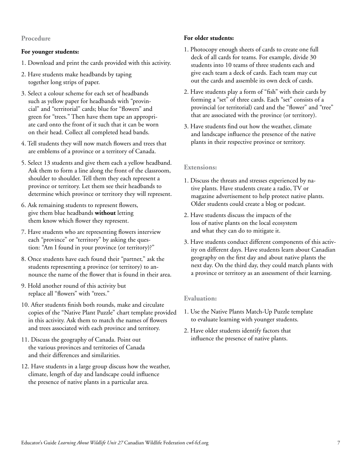#### **Procedure**

#### **For younger students:**

- 1. Download and print the cards provided with this activity.
- 2. Have students make headbands by taping together long strips of paper.
- 3. Select a colour scheme for each set of headbands such as yellow paper for headbands with "provincial" and "territorial" cards; blue for "flowers" and green for "trees." Then have them tape an appropriate card onto the front of it such that it can be worn on their head. Collect all completed head bands.
- 4. Tell students they will now match flowers and trees that are emblems of a province or a territory of Canada.
- 5. Select 13 students and give them each a yellow headband. Ask them to form a line along the front of the classroom, shoulder to shoulder. Tell them they each represent a province or territory. Let them see their headbands to determine which province or territory they will represent.
- 6. Ask remaining students to represent flowers, give them blue headbands **without** letting them know which flower they represent.
- 7. Have students who are representing flowers interview each "province" or "territory" by asking the question: "Am I found in your province (or territory)?"
- 8. Once students have each found their "partner," ask the students representing a province (or territory) to announce the name of the flower that is found in their area.
- 9. Hold another round of this activity but replace all "flowers" with "trees."
- 10. After students finish both rounds, make and circulate copies of the "Native Plant Puzzle" chart template provided in this activity. Ask them to match the names of flowers and trees associated with each province and territory.
- 11. Discuss the geography of Canada. Point out the various provinces and territories of Canada and their differences and similarities.
- 12. Have students in a large group discuss how the weather, climate, length of day and landscape could influence the presence of native plants in a particular area.

## **For older students:**

- 1. Photocopy enough sheets of cards to create one full deck of all cards for teams. For example, divide 30 students into 10 teams of three students each and give each team a deck of cards. Each team may cut out the cards and assemble its own deck of cards.
- 2. Have students play a form of "fish" with their cards by forming a "set" of three cards. Each "set" consists of a provincial (or territorial) card and the "flower" and "tree" that are associated with the province (or territory).
- 3. Have students find out how the weather, climate and landscape influence the presence of the native plants in their respective province or territory.

#### **Extensions:**

- 1. Discuss the threats and stresses experienced by native plants. Have students create a radio, TV or magazine advertisement to help protect native plants. Older students could create a blog or podcast.
- 2. Have students discuss the impacts of the loss of native plants on the local ecosystem and what they can do to mitigate it.
- 3. Have students conduct different components of this activity on different days. Have students learn about Canadian geography on the first day and about native plants the next day. On the third day, they could match plants with a province or territory as an assessment of their learning.

#### **Evaluation:**

- 1. Use the Native Plants Match-Up Puzzle template to evaluate learning with younger students.
- 2. Have older students identify factors that influence the presence of native plants.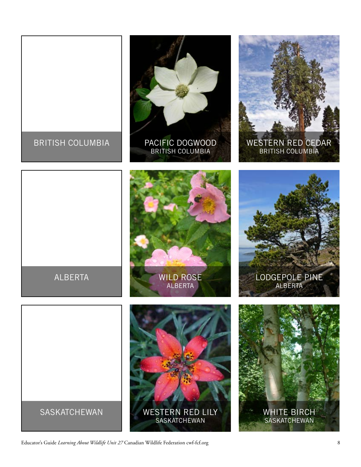

Educator's Guide *Learning About Wildlife Unit 27* Canadian Wildlife Federation cwf-fcf.org 8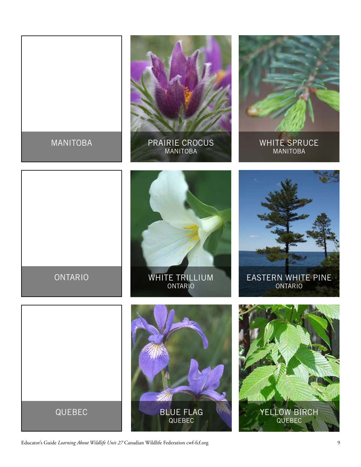

Educator's Guide *Learning About Wildlife Unit 27* Canadian Wildlife Federation cwf-fcf.org 9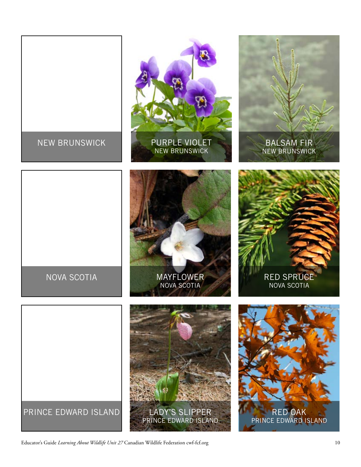

Educator's Guide *Learning About Wildlife Unit 27* Canadian Wildlife Federation cwf-fcf.org 10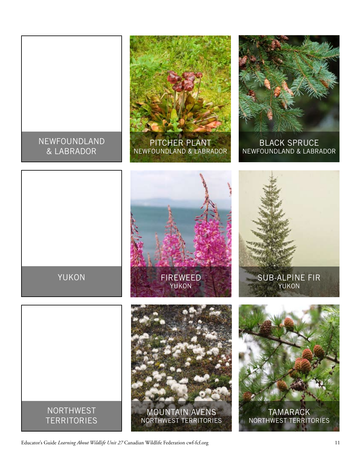

Educator's Guide *Learning About Wildlife Unit 27* Canadian Wildlife Federation cwf-fcf.org 11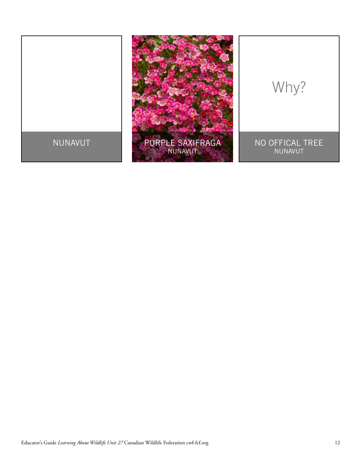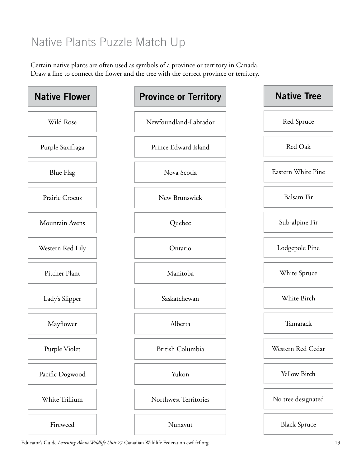# Native Plants Puzzle Match Up

Certain native plants are often used as symbols of a province or territory in Canada. Draw a line to connect the flower and the tree with the correct province or territory.



Educator's Guide *Learning About Wildlife Unit 27* Canadian Wildlife Federation cwf-fcf.org 13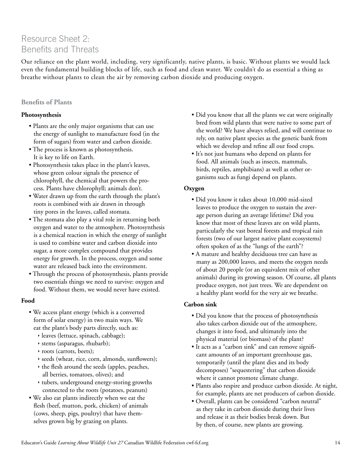# Resource Sheet 2: Benefits and Threats

Our reliance on the plant world, including, very significantly, native plants, is basic. Without plants we would lack even the fundamental building blocks of life, such as food and clean water. We couldn't do as essential a thing as breathe without plants to clean the air by removing carbon dioxide and producing oxygen.

# **Benefits of Plants**

# **Photosynthesis**

- Plants are the only major organisms that can use the energy of sunlight to manufacture food (in the form of sugars) from water and carbon dioxide.
- The process is known as photosynthesis. It is key to life on Earth.
- Photosynthesis takes place in the plant's leaves, whose green colour signals the presence of chlorophyll, the chemical that powers the process. Plants have chlorophyll; animals don't.
- Water drawn up from the earth through the plant's roots is combined with air drawn in through tiny pores in the leaves, called stomata.
- The stomata also play a vital role in returning both oxygen and water to the atmosphere. Photosynthesis is a chemical reaction in which the energy of sunlight is used to combine water and carbon dioxide into sugar, a more complex compound that provides energy for growth. In the process, oxygen and some water are released back into the environment.
- Through the process of photosynthesis, plants provide two essentials things we need to survive: oxygen and food. Without them, we would never have existed.

# **Food**

- We access plant energy (which is a converted form of solar energy) in two main ways. We eat the plant's body parts directly, such as:
	- $\rightarrow$  leaves (lettuce, spinach, cabbage);
	- $\rightarrow$  stems (asparagus, rhubarb);
	- $\rightarrow$  roots (carrots, beets);
	- $\rightarrow$  seeds (wheat, rice, corn, almonds, sunflowers);
	- $\rightarrow$  the flesh around the seeds (apples, peaches, all berries, tomatoes, olives); and
	- $\rightarrow$  tubers, underground energy-storing growths connected to the roots (potatoes, peanuts)
- We also eat plants indirectly when we eat the flesh (beef, mutton, pork, chicken) of animals (cows, sheep, pigs, poultry) that have themselves grown big by grazing on plants.
- Did you know that all the plants we eat were originally bred from wild plants that were native to some part of the world? We have always relied, and will continue to rely, on native plant species as the genetic bank from which we develop and refine all our food crops.
- It's not just humans who depend on plants for food. All animals (such as insects, mammals, birds, reptiles, amphibians) as well as other organisms such as fungi depend on plants.

# **Oxygen**

- Did you know it takes about 10,000 mid-sized leaves to produce the oxygen to sustain the average person during an average lifetime? Did you know that most of these leaves are on wild plants, particularly the vast boreal forests and tropical rain forests (two of our largest native plant ecosystems) often spoken of as the "lungs of the earth"?
- A mature and healthy deciduous tree can have as many as 200,000 leaves, and meets the oxygen needs of about 20 people (or an equivalent mix of other animals) during its growing season. Of course, all plants produce oxygen, not just trees. We are dependent on a healthy plant world for the very air we breathe.

# **Carbon sink**

- Did you know that the process of photosynthesis also takes carbon dioxide out of the atmosphere, changes it into food, and ultimately into the physical material (or biomass) of the plant?
- It acts as a "carbon sink" and can remove significant amounts of an important greenhouse gas, temporarily (until the plant dies and its body decomposes) "sequestering" that carbon dioxide where it cannot promote climate change.
- Plants also respire and produce carbon dioxide. At night, for example, plants are net producers of carbon dioxide.
- Overall, plants can be considered "carbon neutral" as they take in carbon dioxide during their lives and release it as their bodies break down. But by then, of course, new plants are growing.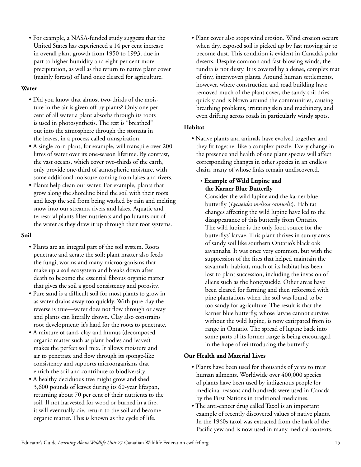• For example, a NASA-funded study suggests that the United States has experienced a 14 per cent increase in overall plant growth from 1950 to 1993, due in part to higher humidity and eight per cent more precipitation, as well as the return to native plant cover (mainly forests) of land once cleared for agriculture.

## **Water**

- Did you know that almost two-thirds of the moisture in the air is given off by plants? Only one per cent of all water a plant absorbs through its roots is used in photosynthesis. The rest is "breathed" out into the atmosphere through the stomata in the leaves, in a process called transpiration.
- A single corn plant, for example, will transpire over 200 litres of water over its one-season lifetime. By contrast, the vast oceans, which cover two-thirds of the earth, only provide one-third of atmospheric moisture, with some additional moisture coming from lakes and rivers.
- Plants help clean our water. For example, plants that grow along the shoreline bind the soil with their roots and keep the soil from being washed by rain and melting snow into our streams, rivers and lakes. Aquatic and terrestrial plants filter nutrients and pollutants out of the water as they draw it up through their root systems.

#### **Soil**

- Plants are an integral part of the soil system. Roots penetrate and aerate the soil; plant matter also feeds the fungi, worms and many microorganisms that make up a soil ecosystem and breaks down after death to become the essential fibrous organic matter that gives the soil a good consistency and porosity.
- Pure sand is a difficult soil for most plants to grow in as water drains away too quickly. With pure clay the reverse is true—water does not flow through or away and plants can literally drown. Clay also constrains root development; it's hard for the roots to penetrate.
- A mixture of sand, clay and humus (decomposed organic matter such as plant bodies and leaves) makes the perfect soil mix. It allows moisture and air to penetrate and flow through its sponge-like consistency and supports microorganisms that enrich the soil and contribute to biodiversity.
- A healthy deciduous tree might grow and shed 3,600 pounds of leaves during its 60-year lifespan, returning about 70 per cent of their nutrients to the soil. If not harvested for wood or burned in a fire, it will eventually die, return to the soil and become organic matter. This is known as the cycle of life.

• Plant cover also stops wind erosion. Wind erosion occurs when dry, exposed soil is picked up by fast moving air to become dust. This condition is evident in Canada's polar deserts. Despite common and fast-blowing winds, the tundra is not dusty. It is covered by a dense, complex mat of tiny, interwoven plants. Around human settlements, however, where construction and road building have removed much of the plant cover, the sandy soil dries quickly and is blown around the communities, causing breathing problems, irritating skin and machinery, and even drifting across roads in particularly windy spots.

# **Habitat**

• Native plants and animals have evolved together and they fit together like a complex puzzle. Every change in the presence and health of one plant species will affect corresponding changes in other species in an endless chain, many of whose links remain undiscovered.

# Ì **Example of Wild Lupine and the Karner Blue Butterfly**

Consider the wild lupine and the karner blue butterfly (*Lycaeides melissa samuelis*). Habitat changes affecting the wild lupine have led to the disappearance of this butterfly from Ontario. The wild lupine is the only food source for the butterflys' larvae. This plant thrives in sunny areas of sandy soil like southern Ontario's black oak savannahs. It was once very common, but with the suppression of the fires that helped maintain the savannah habitat, much of its habitat has been lost to plant succession, including the invasion of aliens such as the honeysuckle. Other areas have been cleared for farming and then reforested with pine plantations when the soil was found to be too sandy for agriculture. The result is that the karner blue butterfly, whose larvae cannot survive without the wild lupine, is now extirpated from its range in Ontario. The spread of lupine back into some parts of its former range is being encouraged in the hope of reintroducing the butterfly.

# **Our Health and Material Lives**

- Plants have been used for thousands of years to treat human ailments. Worldwide over 400,000 species of plants have been used by indigenous people for medicinal reasons and hundreds were used in Canada by the First Nations in traditional medicines.
- The anti-cancer drug called Taxol is an important example of recently discovered values of native plants. In the 1960s taxol was extracted from the bark of the Pacific yew and is now used in many medical contexts.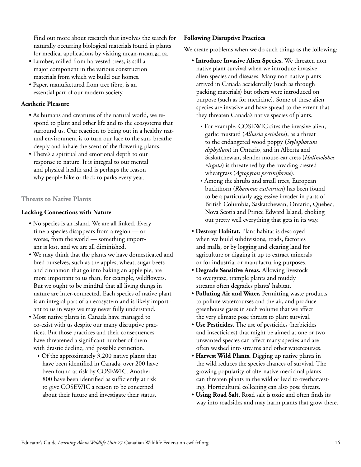Find out more about research that involves the search for naturally occurring biological materials found in plants for medical applications by visiting [nrcan-rncan.gc.ca](http://www.nrcan-rncan.gc.ca).

- Lumber, milled from harvested trees, is still a major component in the various construction materials from which we build our homes.
- Paper, manufactured from tree fibre, is an essential part of our modern society.

## **Aesthetic Pleasure**

- As humans and creatures of the natural world, we respond to plant and other life and to the ecosystems that surround us. Our reaction to being out in a healthy natural environment is to turn our face to the sun, breathe deeply and inhale the scent of the flowering plants.
- There's a spiritual and emotional depth to our response to nature. It is integral to our mental and physical health and is perhaps the reason why people hike or flock to parks every year.

# **Threats to Native Plants**

# **Lacking Connections with Nature**

- No species is an island. We are all linked. Every time a species disappears from a region — or worse, from the world — something important is lost, and we are all diminished.
- We may think that the plants we have domesticated and bred ourselves, such as the apples, wheat, sugar beets and cinnamon that go into baking an apple pie, are more important to us than, for example, wildflowers. But we ought to be mindful that all living things in nature are inter-connected. Each species of native plant is an integral part of an ecosystem and is likely important to us in ways we may never fully understand.
- Most native plants in Canada have managed to co-exist with us despite our many disruptive practices. But those practices and their consequences have threatened a significant number of them with drastic decline, and possible extinction.
	- $\cdot$  Of the approximately 3,200 native plants that have been identified in Canada, over 200 have been found at risk by COSEWIC. Another 800 have been identified as sufficiently at risk to give COSEWIC a reason to be concerned about their future and investigate their status.

# **Following Disruptive Practices**

We create problems when we do such things as the following:

- **Introduce Invasive Alien Species.** We threaten non native plant survival when we introduce invasive alien species and diseases. Many non native plants arrived in Canada accidentally (such as through packing materials) but others were introduced on purpose (such as for medicine). Some of these alien species are invasive and have spread to the extent that they threaten Canada's native species of plants.
	- $\rightarrow$  For example, COSEWIC cites the invasive alien, garlic mustard (*Alliaria petiolata*), as a threat to the endangered wood poppy (*Stylophorum diphyllum*) in Ontario, and in Alberta and Saskatchewan, slender mouse-ear cress (*Halimolobos virgata*) is threatened by the invading crested wheatgrass (*Agropyron pectiniforme*).
	- Among the shrubs and small trees, European buckthorn (*Rhamnus cathartica*) has been found to be a particularly aggressive invader in parts of British Columbia, Saskatchewan, Ontario, Quebec, Nova Scotia and Prince Edward Island, choking out pretty well everything that gets in its way.
- **Destroy Habitat.** Plant habitat is destroyed when we build subdivisions, roads, factories and malls, or by logging and clearing land for agriculture or digging it up to extract minerals or for industrial or manufacturing purposes.
- **Degrade Sensitive Areas.** Allowing livestock to overgraze, trample plants and muddy streams often degrades plants' habitat.
- **Polluting Air and Water.** Permitting waste products to pollute watercourses and the air, and produce greenhouse gases in such volume that we affect the very climate pose threats to plant survival.
- **Use Pesticides.** The use of pesticides (herbicides and insecticides) that might be aimed at one or two unwanted species can affect many species and are often washed into streams and other watercourses.
- **Harvest Wild Plants.** Digging up native plants in the wild reduces the species chances of survival. The growing popularity of alternative medicinal plants can threaten plants in the wild or lead to overharvesting. Horticultural collecting can also pose threats.
- **Using Road Salt.** Road salt is toxic and often finds its way into roadsides and may harm plants that grow there.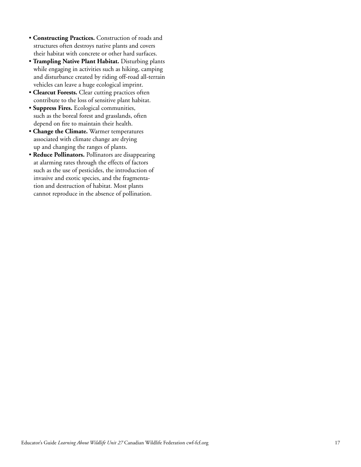- **Constructing Practices.** Construction of roads and structures often destroys native plants and covers their habitat with concrete or other hard surfaces.
- **Trampling Native Plant Habitat.** Disturbing plants while engaging in activities such as hiking, camping and disturbance created by riding off-road all-terrain vehicles can leave a huge ecological imprint.
- **Clearcut Forests.** Clear cutting practices often contribute to the loss of sensitive plant habitat.
- **Suppress Fires.** Ecological communities, such as the boreal forest and grasslands, often depend on fire to maintain their health.
- **Change the Climate.** Warmer temperatures associated with climate change are drying up and changing the ranges of plants.
- **Reduce Pollinators.** Pollinators are disappearing at alarming rates through the effects of factors such as the use of pesticides, the introduction of invasive and exotic species, and the fragmentation and destruction of habitat. Most plants cannot reproduce in the absence of pollination.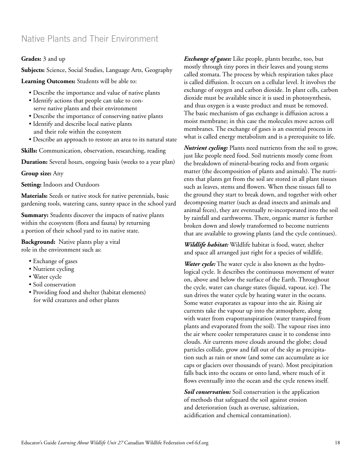# Native Plants and Their Environment

#### **Grades:** 3 and up

**Subjects:** Science, Social Studies, Language Arts, Geography

**Learning Outcomes:** Students will be able to:

- Describe the importance and value of native plants
- Identify actions that people can take to conserve native plants and their environment
- Describe the importance of conserving native plants
- Identify and describe local native plants and their role within the ecosystem
- Describe an approach to restore an area to its natural state

**Skills:** Communication, observation, researching, reading

**Duration:** Several hours, ongoing basis (weeks to a year plan)

**Group size:** Any

**Setting:** Indoors and Outdoors

**Materials:** Seeds or native stock for native perennials, basic gardening tools, watering cans, sunny space in the school yard

**Summary:** Students discover the impacts of native plants within the ecosystem (flora and fauna) by returning a portion of their school yard to its native state.

**Background:** Native plants play a vital role in the environment such as:

- Exchange of gases
- Nutrient cycling
- Water cycle
- Soil conservation
- Providing food and shelter (habitat elements) for wild creatures and other plants

*Exchange of gases:* Like people, plants breathe, too, but mostly through tiny pores in their leaves and young stems called stomata. The process by which respiration takes place is called diffusion. It occurs on a cellular level. It involves the exchange of oxygen and carbon dioxide. In plant cells, carbon dioxide must be available since it is used in photosynthesis, and thus oxygen is a waste product and must be removed. The basic mechanism of gas exchange is diffusion across a moist membrane; in this case the molecules move across cell membranes. The exchange of gases is an essential process in what is called energy metabolism and is a prerequisite to life.

*Nutrient cycling:* Plants need nutrients from the soil to grow, just like people need food. Soil nutrients mostly come from the breakdown of mineral-bearing rocks and from organic matter (the decomposition of plants and animals). The nutrients that plants get from the soil are stored in all plant tissues such as leaves, stems and flowers. When these tissues fall to the ground they start to break down, and together with other decomposing matter (such as dead insects and animals and animal feces), they are eventually re-incorporated into the soil by rainfall and earthworms. There, organic matter is further broken down and slowly transformed to become nutrients that are available to growing plants (and the cycle continues).

*Wildlife habitat:* Wildlife habitat is food, water, shelter and space all arranged just right for a species of wildlife.

*Water cycle:* The water cycle is also known as the hydrological cycle. It describes the continuous movement of water on, above and below the surface of the Earth. Throughout the cycle, water can change states (liquid, vapour, ice). The sun drives the water cycle by heating water in the oceans. Some water evaporates as vapour into the air. Rising air currents take the vapour up into the atmosphere, along with water from evapotranspiration (water transpired from plants and evaporated from the soil). The vapour rises into the air where cooler temperatures cause it to condense into clouds. Air currents move clouds around the globe; cloud particles collide, grow and fall out of the sky as precipitation such as rain or snow (and some can accumulate as ice caps or glaciers over thousands of years). Most precipitation falls back into the oceans or onto land, where much of it flows eventually into the ocean and the cycle renews itself.

*Soil conservation:* Soil conservation is the application of methods that safeguard the soil against erosion and deterioration (such as overuse, saltization, acidification and chemical contamination).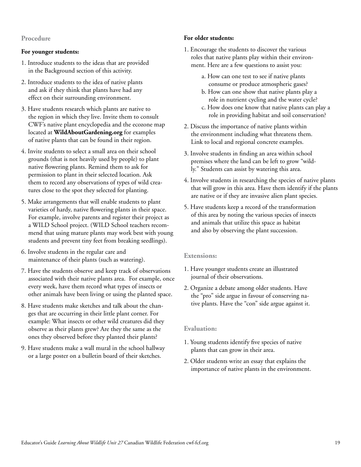#### **Procedure**

#### **For younger students:**

- 1. Introduce students to the ideas that are provided in the Background section of this activity.
- 2. Introduce students to the idea of native plants and ask if they think that plants have had any effect on their surrounding environment.
- 3. Have students research which plants are native to the region in which they live. Invite them to consult CWF's native plant encyclopedia and the ecozone map located at **[WildAboutGardening.org](http://www.WildAboutGardening.org)** for examples of native plants that can be found in their region.
- 4. Invite students to select a small area on their school grounds (that is not heavily used by people) to plant native flowering plants. Remind them to ask for permission to plant in their selected location. Ask them to record any observations of types of wild creatures close to the spot they selected for planting.
- 5. Make arrangements that will enable students to plant varieties of hardy, native flowering plants in their space. For example, involve parents and register their project as a WILD School project. (WILD School teachers recommend that using mature plants may work best with young students and prevent tiny feet from breaking seedlings).
- 6. Involve students in the regular care and maintenance of their plants (such as watering).
- 7. Have the students observe and keep track of observations associated with their native plants area. For example, once every week, have them record what types of insects or other animals have been living or using the planted space.
- 8. Have students make sketches and talk about the changes that are occurring in their little plant corner. For example: What insects or other wild creatures did they observe as their plants grew? Are they the same as the ones they observed before they planted their plants?
- 9. Have students make a wall mural in the school hallway or a large poster on a bulletin board of their sketches.

#### **For older students:**

- 1. Encourage the students to discover the various roles that native plants play within their environment. Here are a few questions to assist you:
	- a. How can one test to see if native plants consume or produce atmospheric gases?
	- b. How can one show that native plants play a role in nutrient cycling and the water cycle?
	- c. How does one know that native plants can play a role in providing habitat and soil conservation?
- 2. Discuss the importance of native plants within the environment including what threatens them. Link to local and regional concrete examples.
- 3. Involve students in finding an area within school premises where the land can be left to grow "wildly." Students can assist by watering this area.
- 4. Involve students in researching the species of native plants that will grow in this area. Have them identify if the plants are native or if they are invasive alien plant species.
- 5. Have students keep a record of the transformation of this area by noting the various species of insects and animals that utilize this space as habitat and also by observing the plant succession.

#### **Extensions:**

- 1. Have younger students create an illustrated journal of their observations.
- 2. Organize a debate among older students. Have the "pro" side argue in favour of conserving native plants. Have the "con" side argue against it.

#### **Evaluation:**

- 1. Young students identify five species of native plants that can grow in their area.
- 2. Older students write an essay that explains the importance of native plants in the environment.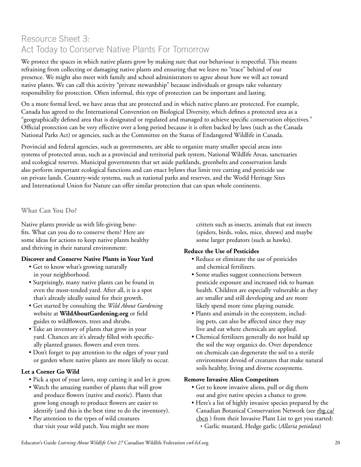# Resource Sheet 3: Act Today to Conserve Native Plants For Tomorrow

We protect the spaces in which native plants grow by making sure that our behaviour is respectful. This means refraining from collecting or damaging native plants and ensuring that we leave no "trace" behind of our presence. We might also meet with family and school administrators to agree about how we will act toward native plants. We can call this activity "private stewardship" because individuals or groups take voluntary responsibility for protection. Often informal, this type of protection can be important and lasting.

On a more formal level, we have areas that are protected and in which native plants are protected. For example, Canada has agreed to the International Convention on Biological Diversity, which defines a protected area as a "geographically defined area that is designated or regulated and managed to achieve specific conservation objectives." Official protection can be very effective over a long period because it is often backed by laws (such as the Canada National Parks Act) or agencies, such as the Committee on the Status of Endangered Wildlife in Canada.

Provincial and federal agencies, such as governments, are able to organize many smaller special areas into systems of protected areas, such as a provincial and territorial park system, National Wildlife Areas, sanctuaries and ecological reserves. Municipal governments that set aside parklands, greenbelts and conservation lands also perform important ecological functions and can enact bylaws that limit tree cutting and pesticide use on private lands. Country-wide systems, such as national parks and reserves, and the World Heritage Sites and International Union for Nature can offer similar protection that can span whole continents.

# **What Can You Do?**

Native plants provide us with life-giving benefits. What can you do to conserve them? Here are some ideas for actions to keep native plants healthy and thriving in their natural environment:

# **Discover and Conserve Native Plants in Your Yard**

- Get to know what's growing naturally in your neighborhood.
- Surprisingly, many native plants can be found in even the most-tended yard. After all, it is a spot that's already ideally suited for their growth.
- Get started by consulting the *Wild About Gardening*  website at **[WildAboutGardening.org](http://www.WildAboutGardening.org)** or field guides to wildflowers, trees and shrubs.
- Take an inventory of plants that grow in your yard. Chances are it's already filled with specifically planted grasses, flowers and even trees.
- Don't forget to pay attention to the edges of your yard or garden where native plants are more likely to occur.

# **Let a Corner Go Wild**

- Pick a spot of your lawn, stop cutting it and let it grow.
- Watch the amazing number of plants that will grow and produce flowers (native and exotic). Plants that grow long enough to produce flowers are easier to identify (and this is the best time to do the inventory).
- Pay attention to the types of wild creatures that visit your wild patch. You might see more

critters such as insects, animals that eat insects (spiders, birds, voles, mice, shrews) and maybe some larger predators (such as hawks).

# **Reduce the Use of Pesticides**

- Reduce or eliminate the use of pesticides and chemical fertilizers.
- Some studies suggest connections between pesticide exposure and increased risk to human health. Children are especially vulnerable as they are smaller and still developing and are more likely spend more time playing outside.
- Plants and animals in the ecosystem, including pets, can also be affected since they may live and eat where chemicals are applied.
- Chemical fertilizers generally do not build up the soil the way organics do. Over dependence on chemicals can degenerate the soil to a sterile environment devoid of creatures that make natural soils healthy, living and diverse ecosystems.

# **Remove Invasive Alien Competitors**

- Get to know invasive aliens, pull or dig them out and give native species a chance to grow.
- Here's a list of highly invasive species prepared by the Canadian Botanical Conservation Network (see [rbg.ca/](http://www.rbg.ca/cbcn) [cbcn](http://www.rbg.ca/cbcn) ) from their Invasive Plant List to get you started:
	- Ì Garlic mustard, Hedge garlic (*Allaria petiolata*)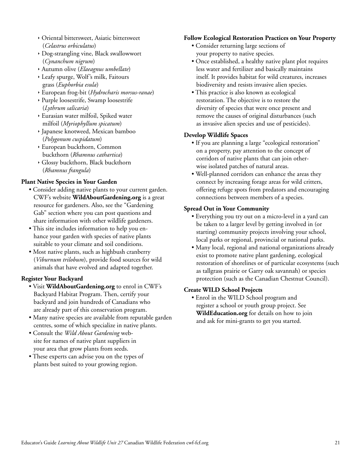- Ì Oriental bittersweet, Asiatic bittersweet (*Celastrus orbiculatus*)
- Ì Dog-strangling vine, Black swallowwort (*Cynanchum nigrum*)
- Ì Autumn olive (*Elaeagnus umbellate*)
- Leafy spurge, Wolf's milk, Faitours grass (*Euphorbia esula*)
- Ì European frog-bit (*Hydrocharis morsus-ranae*)
- Ì Purple loosestrife, Swamp loosestrife (*Lythrum salicaria*)
- **Eurasian water milfoil, Spiked water** milfoil (*Myriophyllum spicatum*)
- Ì Japanese knotweed, Mexican bamboo (*Polygonum cuspidatum*)
- **European buckthorn, Common** buckthorn (*Rhamnus cathartica*)
- Glossy buckthorn, Black buckthorn (*Rhamnus frangula*)

#### **Plant Native Species in Your Garden**

- Consider adding native plants to your current garden. CWF's website **[WildAboutGardening.org](http://www.WildAboutGardening.org)** is a great resource for gardeners. Also, see the "Gardening Gab" section where you can post questions and share information with other wildlife gardeners.
- This site includes information to help you enhance your garden with species of native plants suitable to your climate and soil conditions.
- Most native plants, such as highbush cranberry (*Viburnum trilobum*), provide food sources for wild animals that have evolved and adapted together.

#### **Register Your Backyard**

- Visit **[WildAboutGardening.org](http://www.WildAboutGardening.org)** to enrol in CWF's Backyard Habitat Program. Then, certify your backyard and join hundreds of Canadians who are already part of this conservation program.
- Many native species are available from reputable garden centres, some of which specialize in native plants.
- Consult the *Wild About Gardening* website for names of native plant suppliers in your area that grow plants from seeds.
- These experts can advise you on the types of plants best suited to your growing region.

#### **Follow Ecological Restoration Practices on Your Property**

- Consider returning large sections of your property to native species.
- Once established, a healthy native plant plot requires less water and fertilizer and basically maintains itself. It provides habitat for wild creatures, increases biodiversity and resists invasive alien species.
- This practice is also known as ecological restoration. The objective is to restore the diversity of species that were once present and remove the causes of original disturbances (such as invasive alien species and use of pesticides).

#### **Develop Wildlife Spaces**

- If you are planning a large "ecological restoration" on a property, pay attention to the concept of corridors of native plants that can join otherwise isolated patches of natural areas.
- Well-planned corridors can enhance the areas they connect by increasing forage areas for wild critters, offering refuge spots from predators and encouraging connections between members of a species.

#### **Spread Out in Your Community**

- Everything you try out on a micro-level in a yard can be taken to a larger level by getting involved in (or starting) community projects involving your school, local parks or regional, provincial or national parks.
- Many local, regional and national organizations already exist to promote native plant gardening, ecological restoration of shorelines or of particular ecosystems (such as tallgrass prairie or Garry oak savannah) or species protection (such as the Canadian Chestnut Council).

#### **Create WILD School Projects**

• Enrol in the WILD School program and register a school or youth group project. See **[WildEducation.org](http://www.WildEducation.org)** for details on how to join and ask for mini-grants to get you started.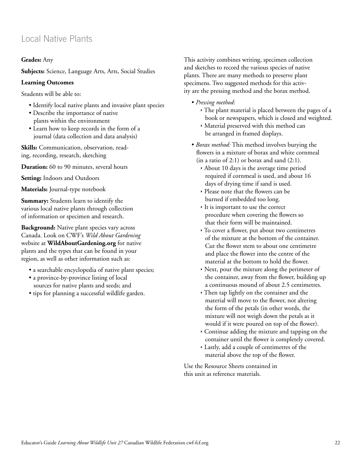# Local Native Plants

## **Grades:** Any

**Subjects:** Science, Language Arts, Arts, Social Studies

#### **Learning Outcomes**

Students will be able to:

- Identify local native plants and invasive plant species
- Describe the importance of native plants within the environment
- Learn how to keep records in the form of a journal (data collection and data analysis)

**Skills:** Communication, observation, reading, recording, research, sketching

**Duration:** 60 to 90 minutes, several hours

**Setting:** Indoors and Outdoors

**Materials:** Journal-type notebook

**Summary:** Students learn to identify the various local native plants through collection of information or specimen and research.

**Background:** Native plant species vary across Canada. Look on CWF's *Wild About Gardening* website at **[WildAboutGardening.org](http://www.WildAboutGardening.org)** for native plants and the types that can be found in your region, as well as other information such as:

- a searchable encyclopedia of native plant species;
- a province-by-province listing of local sources for native plants and seeds; and
- tips for planning a successful wildlife garden.

This activity combines writing, specimen collection and sketches to record the various species of native plants. There are many methods to preserve plant specimens. Two suggested methods for this activity are the pressing method and the borax method.

- • *Pressing method:* 
	- $\cdot$  The plant material is placed between the pages of a book or newspapers, which is closed and weighted.
	- $\rightarrow$  Material preserved with this method can be arranged in framed displays.
- *Borax method:* This method involves burying the flowers in a mixture of borax and white cornmeal  $(in a ratio of 2:1)$  or borax and sand  $(2:1)$ .
	- $\rightarrow$  About 10 days is the average time period required if cornmeal is used, and about 16 days of drying time if sand is used.
	- Ì Please note that the flowers can be burned if embedded too long.
	- $\cdot$  It is important to use the correct procedure when covering the flowers so that their form will be maintained.
	- $\rightarrow$  To cover a flower, put about two centimetres of the mixture at the bottom of the container. Cut the flower stem to about one centimetre and place the flower into the centre of the material at the bottom to hold the flower.
	- $\rightarrow$  Next, pour the mixture along the perimeter of the container, away from the flower, building up a continuous mound of about 2.5 centimetres.
	- $\rightarrow$  Then tap lightly on the container and the material will move to the flower, not altering the form of the petals (in other words, the mixture will not weigh down the petals as it would if it were poured on top of the flower).
	- $\rightarrow$  Continue adding the mixture and tapping on the container until the flower is completely covered.
	- $\rightarrow$  Lastly, add a couple of centimetres of the material above the top of the flower.

Use the Resource Sheets contained in this unit as reference materials.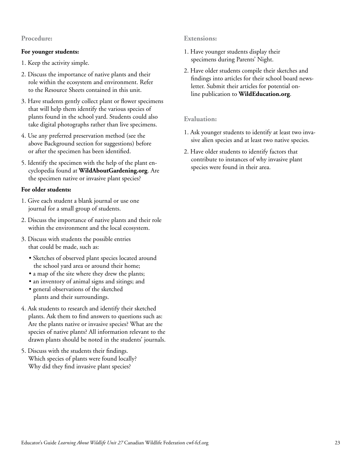#### **Procedure:**

#### **For younger students:**

- 1. Keep the activity simple.
- 2. Discuss the importance of native plants and their role within the ecosystem and environment. Refer to the Resource Sheets contained in this unit.
- 3. Have students gently collect plant or flower specimens that will help them identify the various species of plants found in the school yard. Students could also take digital photographs rather than live specimens.
- 4. Use any preferred preservation method (see the above Background section for suggestions) before or after the specimen has been identified.
- 5. Identify the specimen with the help of the plant encyclopedia found at **[WildAboutGardening.org](http://www.WildAboutGardening.org)**. Are the specimen native or invasive plant species?

#### **For older students:**

- 1. Give each student a blank journal or use one journal for a small group of students.
- 2. Discuss the importance of native plants and their role within the environment and the local ecosystem.
- 3. Discuss with students the possible entries that could be made, such as:
	- Sketches of observed plant species located around the school yard area or around their home;
	- a map of the site where they drew the plants;
	- an inventory of animal signs and sitings; and
	- general observations of the sketched plants and their surroundings.
- 4. Ask students to research and identify their sketched plants. Ask them to find answers to questions such as: Are the plants native or invasive species? What are the species of native plants? All information relevant to the drawn plants should be noted in the students' journals.
- 5. Discuss with the students their findings. Which species of plants were found locally? Why did they find invasive plant species?

## **Extensions:**

- 1. Have younger students display their specimens during Parents' Night.
- 2. Have older students compile their sketches and findings into articles for their school board newsletter. Submit their articles for potential online publication to **[WildEducation.org](http://www.WildEducation.org)**.

#### **Evaluation:**

- 1. Ask younger students to identify at least two invasive alien species and at least two native species.
- 2. Have older students to identify factors that contribute to instances of why invasive plant species were found in their area.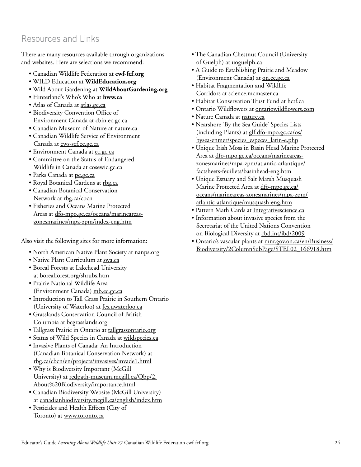# Resources and Links

There are many resources available through organizations and websites. Here are selections we recommend:

- Canadian Wildlife Federation at **[cwf-fcf.org](http://www.cwf-fcf.org)**
- WILD Education at **[WildEducation.org](http://www.WildEducation.org)**
- Wild About Gardening at **[WildAboutGardening.org](http://www.WildAboutGardening.org)**
- Hinterland's Who's Who at **[hww.ca](http://www.hww.ca)**
- Atlas of Canada at [atlas.gc.ca](http://www.atlas.gc.ca)
- Biodiversity Convention Office of Environment Canada at [cbin.ec.gc.ca](http://www.cbin.ec.gc.ca)
- Canadian Museum of Nature at [nature.ca](http://www.nature.ca)
- Canadian Wildlife Service of Environment Canada at [cws-scf.ec.gc.ca](http://www.cws-scf.ec.gc.ca)
- · Environment Canada at [ec.gc.ca](http://www.ec.gc.ca)
- Committee on the Status of Endangered Wildlife in Canada at [cosewic.gc.ca](http://www.cosewic.gc.ca)
- Parks Canada at [pc.gc.ca](http://www.pc.gc.ca)
- Royal Botanical Gardens at [rbg.ca](http://www.rbg.ca)
- Canadian Botanical Conservation Network at [rbg.ca/cbcn](http://www.rbg.ca/cbcn)
- Fisheries and Oceans Marine Protected Areas at [dfo-mpo.gc.ca/oceans/marineareas](http://www.dfo-mpo.gc.ca/oceans/marineareas-zonesmarines/mpa-zpm/index-eng.htm )[zonesmarines/mpa-zpm/index-eng.htm](http://www.dfo-mpo.gc.ca/oceans/marineareas-zonesmarines/mpa-zpm/index-eng.htm )

Also visit the following sites for more information:

- North American Native Plant Society at [nanps.org](http://www.nanps.org)
- Native Plant Curriculum at [swa.ca](http://www.swa.ca)
- Boreal Forests at Lakehead University at [borealforest.org/shrubs.htm](http://www.borealforest.org/shrubs.htm)
- Prairie National Wildlife Area (Environment Canada) [mb.ec.gc.ca](http://www.mb.ec.gc.ca)
- Introduction to Tall Grass Prairie in Southern Ontario (University of Waterloo) at [fes.uwaterloo.ca](http://www.fes.uwaterloo.ca)
- Grasslands Conservation Council of British Columbia at [bcgrasslands.org](http://www.bcgrasslands.org)
- Tallgrass Prairie in Ontario at [tallgrassontario.org](http://www.tallgrassontario.org)
- Status of Wild Species in Canada at [wildspecies.ca](http://www.wildspecies.ca)
- Invasive Plants of Canada: An Introduction (Canadian Botanical Conservation Network) at [rbg.ca/cbcn/en/projects/invasives/invade1.html](http://www.rbg.ca/cbcn/en/projects/invasives/invade1.html)
- Why is Biodiversity Important (McGill University) at [redpath-museum.mcgill.ca/Qbp/2.](http://www.redpath-museum.mcgill.ca/Qbp/2.About%20Biodiversity/importance.html) [About%20Biodiversity/importance.html](http://www.redpath-museum.mcgill.ca/Qbp/2.About%20Biodiversity/importance.html)
- Canadian Biodiversity Website (McGill University) at [canadianbiodiversity.mcgill.ca/english/index.htm](http://www.canadianbiodiversity.mcgill.ca/english/index.htm)
- Pesticides and Health Effects (City of Toronto) at [www.toronto.ca](http://www.toronto.ca)
- The Canadian Chestnut Council (University of Guelph) at [uoguelph.](http://www.uoguelph.ca)ca
- A Guide to Establishing Prairie and Meadow (Environment Canada) at [on.ec.gc.ca](http://www.on.ec.gc.ca)
- Habitat Fragmentation and Wildlife Corridors at [science.mcmaster.ca](http://www.science.mcmaster.ca)
- Habitat Conservation Trust Fund at hctf.ca
- Ontario Wildflowers at [ontariowildflowers.com](http://www.ontariowildflowers.com)
- Nature Canada at [nature.ca](http://www.nature.ca)
- Nearshore 'By the Sea Guide' Species Lists (including Plants) at [glf.dfo-mpo.gc.ca/os/](http://www.glf.dfo-mpo.gc.ca/os/bysea-enmer/species_especes_latin-e.php) [bysea-enmer/species\\_especes\\_latin-e.php](http://www.glf.dfo-mpo.gc.ca/os/bysea-enmer/species_especes_latin-e.php)
- Unique Irish Moss in Basin Head Marine Protected Area at [dfo-mpo.gc.ca/oceans/marineareas](http://www.dfo-mpo.gc.ca/oceans/marineareas-zonesmarines/mpa-zpm/atlantic-atlantique/factsheets-feuillets/basinhead-eng.htm)[zonesmarines/mpa-zpm/atlantic-atlantique/](http://www.dfo-mpo.gc.ca/oceans/marineareas-zonesmarines/mpa-zpm/atlantic-atlantique/factsheets-feuillets/basinhead-eng.htm) [factsheets-feuillets/basinhead-eng.htm](http://www.dfo-mpo.gc.ca/oceans/marineareas-zonesmarines/mpa-zpm/atlantic-atlantique/factsheets-feuillets/basinhead-eng.htm)
- Unique Estuary and Salt Marsh Musquash Marine Protected Area at [dfo-mpo.gc.ca/](http://www.dfo-mpo.gc.ca/oceans/marineareas-zonesmarines/mpa-zpm/atlantic-atlantique/musquash-eng.htm) [oceans/marineareas-zonesmarines/mpa-zpm/](http://www.dfo-mpo.gc.ca/oceans/marineareas-zonesmarines/mpa-zpm/atlantic-atlantique/musquash-eng.htm) [atlantic-atlantique/musquash-eng.htm](http://www.dfo-mpo.gc.ca/oceans/marineareas-zonesmarines/mpa-zpm/atlantic-atlantique/musquash-eng.htm)
- • [Pattern Math Cards at Integrativescience.ca](http://www.dfo-mpo.gc.ca/oceans/marineareas-zonesmarines/mpa-zpm/atlantic-atlantique/musquash-eng.htm)
- • [Information about invasive species from the](http://www.dfo-mpo.gc.ca/oceans/marineareas-zonesmarines/mpa-zpm/atlantic-atlantique/musquash-eng.htm)  [Secretariat of the United Nations Convention](http://www.dfo-mpo.gc.ca/oceans/marineareas-zonesmarines/mpa-zpm/atlantic-atlantique/musquash-eng.htm)  [on Biological Diversity at cbd.int/ibd/2009](http://www.dfo-mpo.gc.ca/oceans/marineareas-zonesmarines/mpa-zpm/atlantic-atlantique/musquash-eng.htm)
- • [Ontario's vascular plants at mnr.gov.on.ca/en/Business/](http://www.dfo-mpo.gc.ca/oceans/marineareas-zonesmarines/mpa-zpm/atlantic-atlantique/musquash-eng.htm) [Biodiversity/2ColumnSubPage/STEL02\\_166918.htm](http://www.dfo-mpo.gc.ca/oceans/marineareas-zonesmarines/mpa-zpm/atlantic-atlantique/musquash-eng.htm)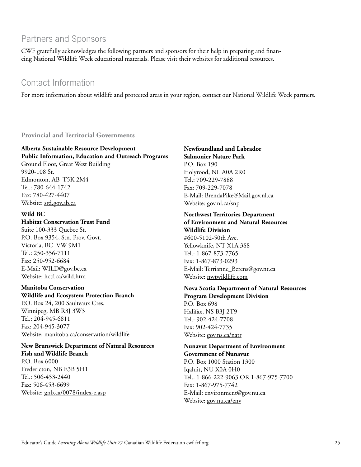# Partners and Sponsors

CWF gratefully acknowledges the following partners and sponsors for their help in preparing and financing National Wildlife Week educational materials. Please visit their websites for additional resources.

# Contact Information

For more information about wildlife and protected areas in your region, contact our National Wildlife Week partners.

**Provincial and Territorial Governments**

# **Alberta Sustainable Resource Development**

**Public Information, Education and Outreach Programs** Ground Floor, Great West Building 9920-108 St. Edmonton, AB T5K 2M4 Tel.: 780-644-1742 Fax: 780-427-4407

# **Wild BC**

Website: [srd.gov.ab.ca](http://www.srd.gov.ab.ca)

# **Habitat Conservation Trust Fund**

Suite 100-333 Quebec St. P.O. Box 9354, Stn. Prov. Govt. Victoria, BC VW 9M1 Tel.: 250-356-7111 Fax: 250-952-6684 E-Mail: WILD@gov.bc.ca Website: [hctf.ca/wild.htm](http://www.hctf.ca/wild.htm)

# **Manitoba Conservation**

**Wildlife and Ecosystem Protection Branch** P.O. Box 24, 200 Saulteaux Cres. Winnipeg, MB R3J 3W3 Tel.: 204-945-6811 Fax: 204-945-3077 Website: [manitoba.ca/conservation/wildlife](http://www.manitoba.ca/conservation/wildlife)

**New Brunswick Department of Natural Resources Fish and Wildlife Branch** P.O. Box 6000 Fredericton, NB E3B 5H1 Tel.: 506-453-2440 Fax: 506-453-6699 Website: [gnb.ca/0078/index-e.asp](http://www.gnb.ca/0078/index-e.asp)

**Newfoundland and Labrador Salmonier Nature Park** P.O. Box 190 Holyrood, NL A0A 2R0 Tel.: 709-229-7888 Fax: 709-229-7078 E-Mail: BrendaPike@Mail.gov.nl.ca Website: [gov.nl.ca/snp](http://www.gov.nl.ca/snp)

#### **Northwest Territories Department of Environment and Natural Resources Wildlife Division**

#600-5102-50th Ave. Yellowknife, NT X1A 3S8 Tel.: 1-867-873-7765 Fax: 1-867-873-0293 E-Mail: Terrianne\_Berens@gov.nt.ca Website: [nwtwildlife.com](http://www.nwtwildlife.com)

## **Nova Scotia Department of Natural Resources Program Development Division** P.O. Box 698

Halifax, NS B3J 2T9 Tel.: 902-424-7708 Fax: 902-424-7735 Website: [gov.ns.ca/natr](http://www.gov.ns.ca/natr)

**Nunavut Department of Environment Government of Nunavut**

P.O. Box 1000 Station 1300 Iqaluit, NU X0A 0H0 Tel.: 1-866-222-9063 OR 1-867-975-7700 Fax: 1-867-975-7742 E-Mail: environment@gov.nu.ca Website: gov.nu.ca/env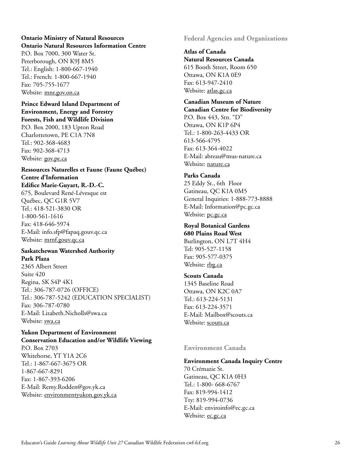# **Ontario Ministry of Natural Resources Ontario Natural Resources Information Centre**

P.O. Box 7000, 300 Water St. Peterborough, ON K9J 8M5 Tel.: English: 1-800-667-1940 Tel.: French: 1-800-667-1940 Fax: 705-755-1677 Website: [mnr.gov.on.ca](http://www.mnr.gov.on.ca)

## **Prince Edward Island Department of Environment, Energy and Forestry Forests, Fish and Wildlife Division**

P.O. Box 2000, 183 Upton Road Charlottetown, PE C1A 7N8 Tel.: 902-368-4683 Fax: 902-368-4713 Website: [gov.pe.ca](http://www.gov.pe.ca)

#### **Ressources Naturelles et Faune (Faune Québec) Centre d'Information Edifice Marie-Guyart, R.-D.-C.**

675, Boulevard René-Lévesque est Québec, QC G1R 5V7 Tel.: 418-521-3830 OR 1-800-561-1616 Fax: 418-646-5974 E-Mail: info.sfp@fapaq.gouv.qc.ca Website: [mrnf.gouv.qc.ca](http://www.mrnf.gouv.qc.ca)

## **Saskatchewan Watershed Authority Park Plaza**

2365 Albert Street Suite 420 Regina, SK S4P 4K1 Tel.: 306-787-0726 (OFFICE) Tel.: 306-787-5242 (EDUCATION SPECIALIST) Fax: 306-787-0780 E-Mail: Lizabeth.Nicholls@swa.ca Website: [swa.ca](http://www.swa.ca)

#### **Yukon Department of Environment Conservation Education and/or Wildlife Viewing**

P.O. Box 2703 Whitehorse, YT Y1A 2C6 Tel.: 1-867-667-3675 OR 1-867-667-8291 Fax: 1-867-393-6206 E-Mail: Remy.Rodden@gov.yk.ca Website: [environmentyukon.gov.yk.ca](http://www.environmentyukon.gov.yk.ca) **Federal Agencies and Organizations**

## **Atlas of Canada Natural Resources Canada** 615 Booth Street, Room 650 Ottawa, ON K1A 0E9 Fax: 613-947-2410 Website: [atlas.gc.ca](http://www.atlas.gc.ca)

# **Canadian Museum of Nature**

**Canadian Centre for Biodiversity** P.O. Box 443, Stn. "D" Ottawa, ON K1P 6P4 Tel.: 1-800-263-4433 OR 613-566-4795 Fax: 613-364-4022 E-Mail: abreau@mus-nature.ca Website: [nature.ca](http://www.nature.ca)

# **Parks Canada** 25 Eddy St., 6th Floor Gatineau, QC K1A 0M5 General Inquiries: 1-888-773-8888 E-Mail: Information@pc.gc.ca Website: [pc.gc.ca](http://www.pc.gc.ca)

# **Royal Botanical Gardens 680 Plains Road West** Burlington, ON L7T 4H4 Tel: 905-527-1158 Fax: 905-577-0375 Website: [rbg.ca](http://www.rbg.ca)

# **Scouts Canada** 1345 Baseline Road Ottawa, ON K2C 0A7 Tel.: 613-224-5131 Fax: 613-224-3571 E-Mail: Mailbox@scouts.ca Website: [scouts.ca](http://www.scouts.ca)

# **Environment Canada**

# **Environment Canada Inquiry Centre**

70 Crémazie St. Gatineau, QC K1A 0H3 Tel.: 1-800- 668-6767 Fax: 819-994-1412 Tty: 819-994-0736 E-Mail: enviroinfo@ec.gc.ca Website: ec.gc.ca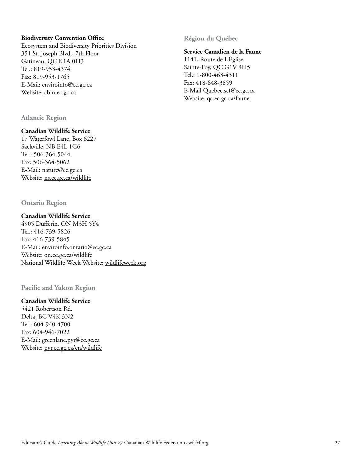#### **Biodiversity Convention Office**

Ecosystem and Biodiversity Priorities Division 351 St. Joseph Blvd., 7th Floor Gatineau, QC K1A 0H3 Tel.: 819-953-4374 Fax: 819-953-1765 E-Mail: enviroinfo@ec.gc.ca Website: [cbin.ec.gc.ca](http://www.cbin.ec.gc.ca)

**Atlantic Region**

## **Canadian Wildlife Service**

17 Waterfowl Lane, Box 6227 Sackville, NB E4L 1G6 Tel.: 506-364-5044 Fax: 506-364-5062 E-Mail: nature@ec.gc.ca Website: [ns.ec.gc.ca/wildlife](http://www.ns.ec.gc.ca/wildlife)

**Ontario Region**

## **Canadian Wildlife Service**

4905 Dufferin, ON M3H 5Y4 Tel.: 416-739-5826 Fax: 416-739-5845 E-Mail: enviroinfo.ontario@ec.gc.ca Website: on.ec.gc.ca/wildlife National Wildlife Week Website: [wildlifeweek.org](http://www.wildlifeweek.org)

**Pacific and Yukon Region** 

# **Canadian Wildlife Service**

5421 Robertson Rd. Delta, BC V4K 3N2 Tel.: 604-940-4700 Fax: 604-946-7022 E-Mail: greenlane.pyr@ec.gc.ca Website: [pyr.ec.gc.ca/en/wildlife](http://www.pyr.ec.gc.ca/en/wildlife) **Région du Québec**

#### **Service Canadien de la Faune**

1141, Route de L'Église Sainte-Foy, QC G1V 4H5 Tel.: 1-800-463-4311 Fax: 418-648-3859 E-Mail Quebec.scf@ec.gc.ca Website: **gc.ec.gc.ca/faune**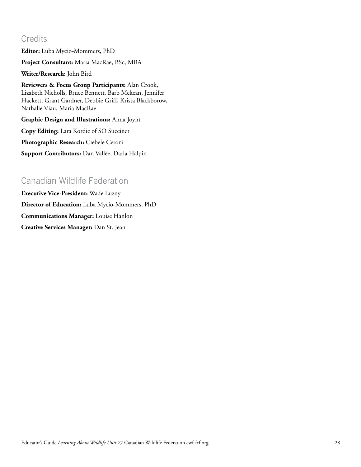# **Credits**

**Editor:** Luba Mycio-Mommers, PhD

**Project Consultant:** Maria MacRae, BSc, MBA

**Writer/Research:** John Bird

**Reviewers & Focus Group Participants:** Alan Crook, Lizabeth Nicholls, Bruce Bennett, Barb Mckean, Jennifer Hackett, Grant Gardner, Debbie Griff, Krista Blackborow, Nathalie Viau, Maria MacRae

**Graphic Design and Illustrations:** Anna Joynt

**Copy Editing:** Lara Kordic of SO Succinct

**Photographic Research:** Ciebele Ceroni

**Support Contributors:** Dan Vallée, Darla Halpin

# Canadian Wildlife Federation

**Executive Vice-President:** Wade Luzny **Director of Education:** Luba Mycio-Mommers, PhD **Communications Manager:** Louise Hanlon **Creative Services Manager:** Dan St. Jean